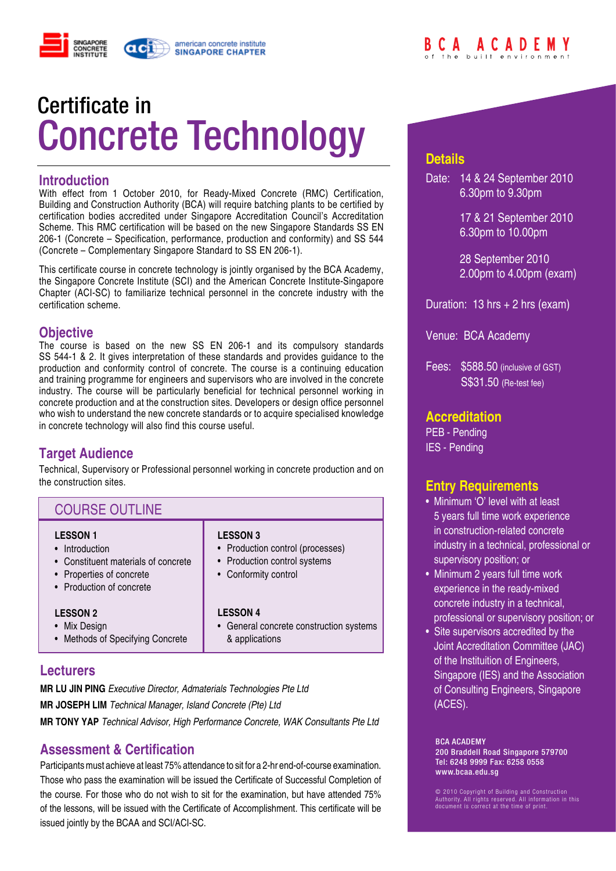

# Certificate in Concrete Technology

## **Introduction**

With effect from 1 October 2010, for Ready-Mixed Concrete (RMC) Certification, Building and Construction Authority (BCA) will require batching plants to be certified by certification bodies accredited under Singapore Accreditation Council's Accreditation Scheme. This RMC certification will be based on the new Singapore Standards SS EN 206-1 (Concrete – Specification, performance, production and conformity) and SS 544 (Concrete – Complementary Singapore Standard to SS EN 206-1).

This certificate course in concrete technology is jointly organised by the BCA Academy, the Singapore Concrete Institute (SCI) and the American Concrete Institute-Singapore Chapter (ACI-SC) to familiarize technical personnel in the concrete industry with the certification scheme.

## **Objective**

The course is based on the new SS EN 206-1 and its compulsory standards SS 544-1 & 2. It gives interpretation of these standards and provides guidance to the production and conformity control of concrete. The course is a continuing education and training programme for engineers and supervisors who are involved in the concrete industry. The course will be particularly beneficial for technical personnel working in concrete production and at the construction sites. Developers or design office personnel who wish to understand the new concrete standards or to acquire specialised knowledge in concrete technology will also find this course useful.

## **Target Audience**

Technical, Supervisory or Professional personnel working in concrete production and on the construction sites.

## Course Outline

- **Lesson 1**
- Introduction
- Constituent materials of concrete
- Properties of concrete
- Production of concrete

#### **Lesson 2**

- Mix Design
- Methods of Specifying Concrete

## **Lecturers**

**Mr Lu Jin Ping** *Executive Director, Admaterials Technologies Pte Ltd* **Mr Joseph Lim** *Technical Manager, Island Concrete (Pte) Ltd* **Mr Tony Yap** *Technical Advisor, High Performance Concrete, WAK Consultants Pte Ltd*

## **Assessment & Certification**

Participants must achieve at least 75% attendance to sit for a 2-hr end-of-course examination. Those who pass the examination will be issued the Certificate of Successful Completion of the course. For those who do not wish to sit for the examination, but have attended 75% of the lessons, will be issued with the Certificate of Accomplishment. This certificate will be issued jointly by the BCAA and SCI/ACI-SC.

#### **Lesson 3**

- Production control (processes)
- Production control systems
- Conformity control

#### **Lesson 4**

• General concrete construction systems & applications

## **Details**

Date: 14 & 24 September 2010 6.30pm to 9.30pm

> 17 & 21 September 2010 6.30pm to 10.00pm

28 September 2010 2.00pm to 4.00pm (exam)

Duration:  $13$  hrs  $+ 2$  hrs (exam)

Venue: BCA Academy

Fees: \$588.50 (inclusive of GST) S\$31.50 (Re-test fee)

### **Accreditation**

PEB - Pending IES - Pending

## **Entry Requirements**

- Minimum 'O' level with at least 5 years full time work experience in construction-related concrete industry in a technical, professional or supervisory position; or
- Minimum 2 years full time work experience in the ready-mixed concrete industry in a technical, professional or supervisory position; or
- Site supervisors accredited by the Joint Accreditation Committee (JAC) of the Instituition of Engineers, Singapore (IES) and the Association of Consulting Engineers, Singapore (ACES).

BCA ACADEMY 200 Braddell Road Singapore 579700 Tel: 6248 9999 Fax: 6258 0558 www.bcaa.edu.sg

© 2010 Copyright of Building and Construction Authority. All rights reserved. All information in this document is correct at the time of print.